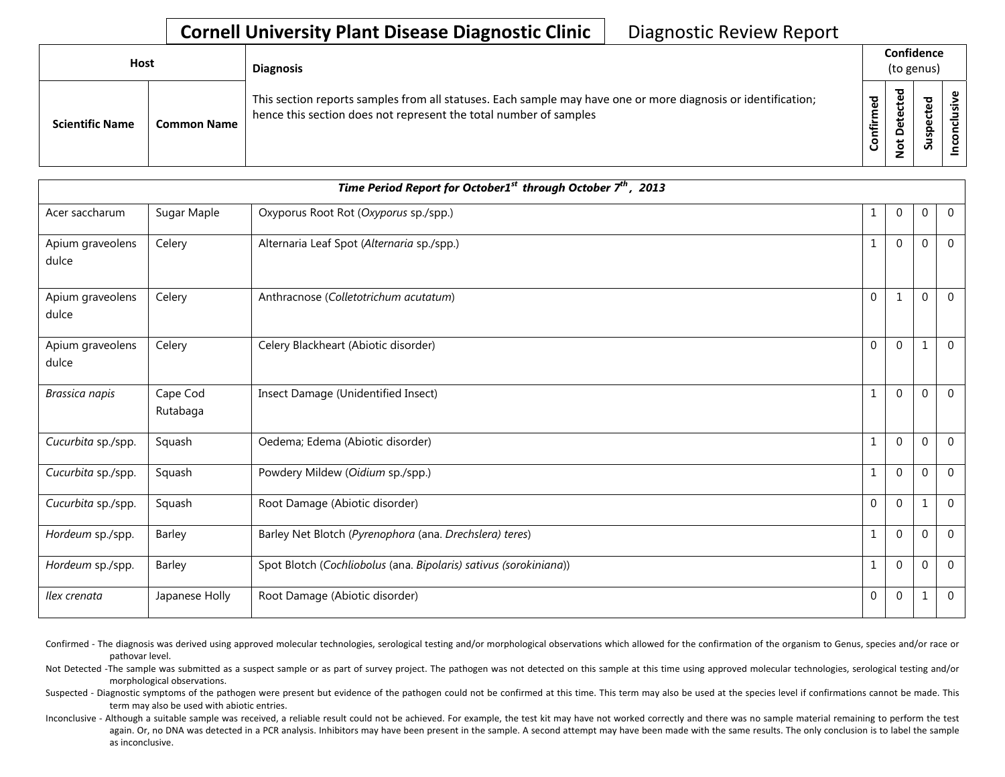## **Cornell University Plant Disease Diagnostic Clinic** | Diagnostic Review Report

| <b>Host</b>            |                    | <b>Diagnosis</b>                                                                                                                                                                   | Confidence<br>(to genus) |                                                      |                                  |  |
|------------------------|--------------------|------------------------------------------------------------------------------------------------------------------------------------------------------------------------------------|--------------------------|------------------------------------------------------|----------------------------------|--|
| <b>Scientific Name</b> | <b>Common Name</b> | This section reports samples from all statuses. Each sample may have one or more diagnosis or identification;<br>hence this section does not represent the total number of samples | ಕ<br>Ě<br>onfir<br>O     | ठ<br>$\mathbf \omega$<br>ω<br>۵<br>ى<br>$\mathbf{S}$ | рэт<br>ن<br>$\mathbf{Q}$<br>Susp |  |

| Time Period Report for October1 <sup>st</sup> through October $7^{th}$ , 2013 |                      |                                                                   |              |              |             |                |  |
|-------------------------------------------------------------------------------|----------------------|-------------------------------------------------------------------|--------------|--------------|-------------|----------------|--|
| Acer saccharum                                                                | Sugar Maple          | Oxyporus Root Rot (Oxyporus sp./spp.)                             | $\mathbf{1}$ | $\Omega$     | $\Omega$    | $\mathbf 0$    |  |
| Apium graveolens<br>dulce                                                     | Celery               | Alternaria Leaf Spot (Alternaria sp./spp.)                        | $\mathbf{1}$ | $\Omega$     | $\Omega$    | $\Omega$       |  |
| Apium graveolens<br>dulce                                                     | Celery               | Anthracnose (Colletotrichum acutatum)                             | $\Omega$     | $\mathbf{1}$ | $\Omega$    | $\mathbf 0$    |  |
| Apium graveolens<br>dulce                                                     | Celery               | Celery Blackheart (Abiotic disorder)                              | $\Omega$     | $\Omega$     |             | $\Omega$       |  |
| Brassica napis                                                                | Cape Cod<br>Rutabaga | Insect Damage (Unidentified Insect)                               | $\mathbf{1}$ | $\Omega$     | 0           | $\Omega$       |  |
| Cucurbita sp./spp.                                                            | Squash               | Oedema; Edema (Abiotic disorder)                                  | $\mathbf{1}$ | $\Omega$     | 0           | $\Omega$       |  |
| Cucurbita sp./spp.                                                            | Squash               | Powdery Mildew (Oidium sp./spp.)                                  | $\mathbf{1}$ | $\mathbf{0}$ | $\mathbf 0$ | $\mathbf 0$    |  |
| Cucurbita sp./spp.                                                            | Squash               | Root Damage (Abiotic disorder)                                    | $\Omega$     | $\Omega$     |             | $\Omega$       |  |
| Hordeum sp./spp.                                                              | Barley               | Barley Net Blotch (Pyrenophora (ana. Drechslera) teres)           | $\mathbf{1}$ | $\Omega$     | 0           | $\Omega$       |  |
| Hordeum sp./spp.                                                              | Barley               | Spot Blotch (Cochliobolus (ana. Bipolaris) sativus (sorokiniana)) | $\mathbf{1}$ | $\Omega$     | $\mathbf 0$ | $\mathbf 0$    |  |
| Ilex crenata                                                                  | Japanese Holly       | Root Damage (Abiotic disorder)                                    | $\mathbf 0$  | $\mathbf 0$  | 1           | $\overline{0}$ |  |

Confirmed - The diagnosis was derived using approved molecular technologies, serological testing and/or morphological observations which allowed for the confirmation of the organism to Genus, species and/or race or pathovar level.

Not Detected -The sample was submitted as a suspect sample or as part of survey project. The pathogen was not detected on this sample at this time using approved molecular technologies, serological testing and/or morphological observations.

Suspected - Diagnostic symptoms of the pathogen were present but evidence of the pathogen could not be confirmed at this time. This term may also be used at the species level if confirmations cannot be made. This term may also be used with abiotic entries.

Inconclusive - Although a suitable sample was received, a reliable result could not be achieved. For example, the test kit may have not worked correctly and there was no sample material remaining to perform the test again. Or, no DNA was detected in a PCR analysis. Inhibitors may have been present in the sample. A second attempt may have been made with the same results. The only conclusion is to label the sample as inconclusive.